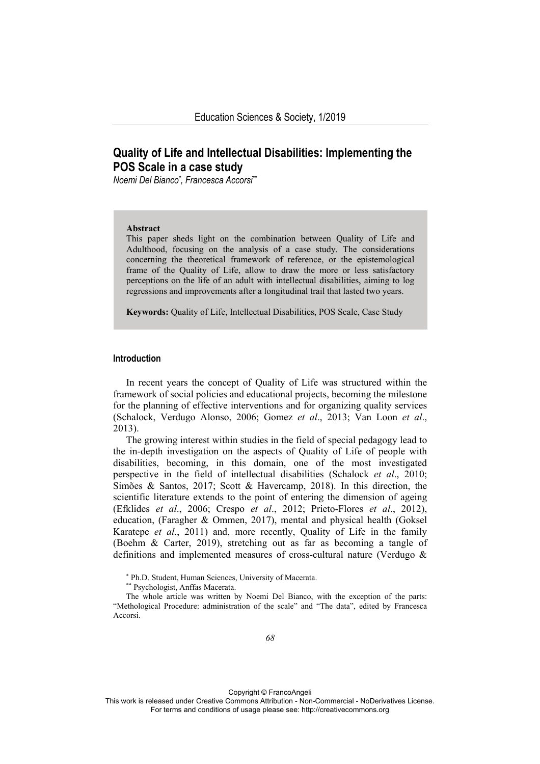# **Quality of Life and Intellectual Disabilities: Implementing the POS Scale in a case study**

*Noemi Del Bianco\* , Francesca Accorsi\*\**

#### **Abstract**

This paper sheds light on the combination between Quality of Life and Adulthood, focusing on the analysis of a case study. The considerations concerning the theoretical framework of reference, or the epistemological frame of the Quality of Life, allow to draw the more or less satisfactory perceptions on the life of an adult with intellectual disabilities, aiming to log regressions and improvements after a longitudinal trail that lasted two years.

**Keywords:** Quality of Life, Intellectual Disabilities, POS Scale, Case Study

### **Introduction**

In recent years the concept of Quality of Life was structured within the framework of social policies and educational projects, becoming the milestone for the planning of effective interventions and for organizing quality services (Schalock, Verdugo Alonso, 2006; Gomez *et al*., 2013; Van Loon *et al*., 2013).

The growing interest within studies in the field of special pedagogy lead to the in-depth investigation on the aspects of Quality of Life of people with disabilities, becoming, in this domain, one of the most investigated perspective in the field of intellectual disabilities (Schalock *et al*., 2010; Simões & Santos, 2017; Scott & Havercamp, 2018). In this direction, the scientific literature extends to the point of entering the dimension of ageing (Efklides *et al*., 2006; Crespo *et al*., 2012; Prieto-Flores *et al*., 2012), education, (Faragher & Ommen, 2017), mental and physical health (Goksel Karatepe *et al*., 2011) and, more recently, Quality of Life in the family (Boehm & Carter, 2019), stretching out as far as becoming a tangle of definitions and implemented measures of cross-cultural nature (Verdugo &

The whole article was written by Noemi Del Bianco, with the exception of the parts: "Methological Procedure: administration of the scale" and "The data", edited by Francesca Accorsi.

Copyright © FrancoAngeli

<sup>\*</sup> Ph.D. Student, Human Sciences, University of Macerata.

<sup>\*\*</sup> Psychologist, Anffas Macerata.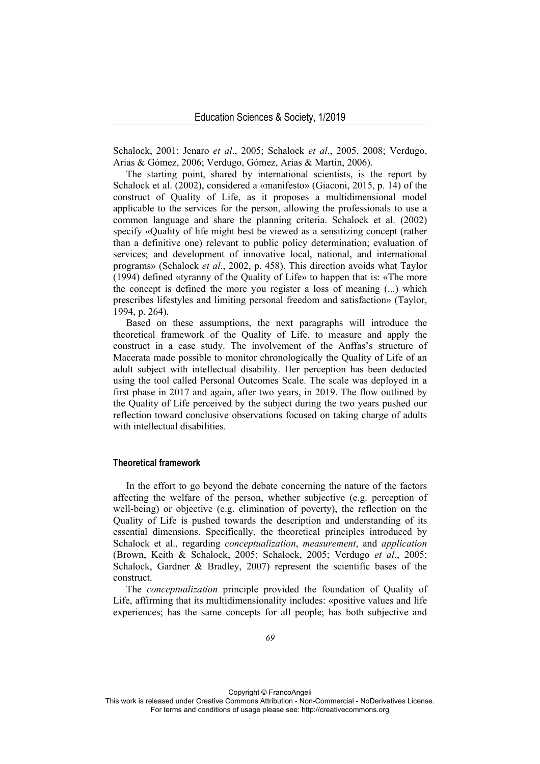Schalock, 2001; Jenaro *et al*., 2005; Schalock *et al*., 2005, 2008; Verdugo, Arias & Gómez, 2006; Verdugo, Gómez, Arias & Martin, 2006).

The starting point, shared by international scientists, is the report by Schalock et al. (2002), considered a «manifesto» (Giaconi, 2015, p. 14) of the construct of Quality of Life, as it proposes a multidimensional model applicable to the services for the person, allowing the professionals to use a common language and share the planning criteria. Schalock et al. (2002) specify «Quality of life might best be viewed as a sensitizing concept (rather than a definitive one) relevant to public policy determination; evaluation of services; and development of innovative local, national, and international programs» (Schalock *et al*., 2002, p. 458). This direction avoids what Taylor (1994) defined «tyranny of the Quality of Life» to happen that is: «The more the concept is defined the more you register a loss of meaning (...) which prescribes lifestyles and limiting personal freedom and satisfaction» (Taylor, 1994, p. 264).

Based on these assumptions, the next paragraphs will introduce the theoretical framework of the Quality of Life, to measure and apply the construct in a case study. The involvement of the Anffas's structure of Macerata made possible to monitor chronologically the Quality of Life of an adult subject with intellectual disability. Her perception has been deducted using the tool called Personal Outcomes Scale. The scale was deployed in a first phase in 2017 and again, after two years, in 2019. The flow outlined by the Quality of Life perceived by the subject during the two years pushed our reflection toward conclusive observations focused on taking charge of adults with intellectual disabilities.

## **Theoretical framework**

In the effort to go beyond the debate concerning the nature of the factors affecting the welfare of the person, whether subjective (e.g. perception of well-being) or objective (e.g. elimination of poverty), the reflection on the Quality of Life is pushed towards the description and understanding of its essential dimensions. Specifically, the theoretical principles introduced by Schalock et al., regarding *conceptualization*, *measurement*, and *application* (Brown, Keith & Schalock, 2005; Schalock, 2005; Verdugo *et al*., 2005; Schalock, Gardner & Bradley, 2007) represent the scientific bases of the construct.

The *conceptualization* principle provided the foundation of Quality of Life, affirming that its multidimensionality includes: «positive values and life experiences; has the same concepts for all people; has both subjective and

Copyright © FrancoAngeli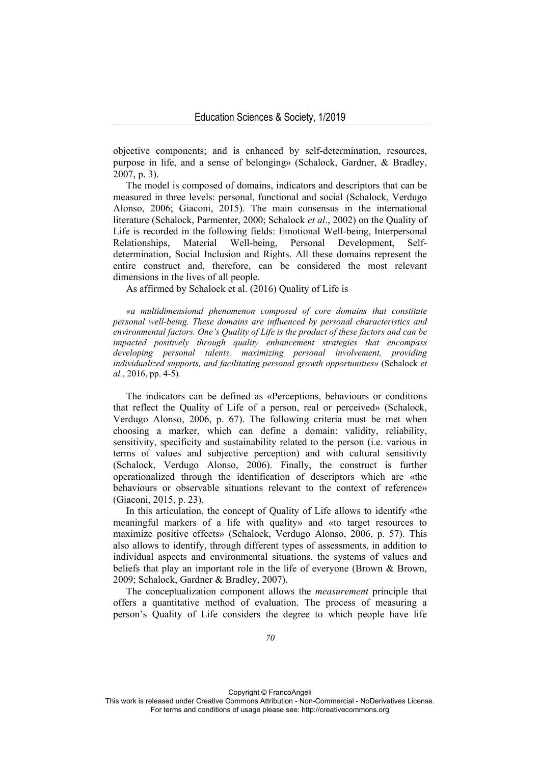objective components; and is enhanced by self-determination, resources, purpose in life, and a sense of belonging» (Schalock, Gardner, & Bradley, 2007, p. 3).

The model is composed of domains, indicators and descriptors that can be measured in three levels: personal, functional and social (Schalock, Verdugo Alonso, 2006; Giaconi, 2015). The main consensus in the international literature (Schalock, Parmenter, 2000; Schalock *et al*., 2002) on the Quality of Life is recorded in the following fields: Emotional Well-being, Interpersonal Relationships, Material Well-being, Personal Development, Selfdetermination, Social Inclusion and Rights. All these domains represent the entire construct and, therefore, can be considered the most relevant dimensions in the lives of all people.

As affirmed by Schalock et al. (2016) Quality of Life is

*«a multidimensional phenomenon composed of core domains that constitute personal well-being. These domains are influenced by personal characteristics and environmental factors. One's Quality of Life is the product of these factors and can be impacted positively through quality enhancement strategies that encompass developing personal talents, maximizing personal involvement, providing individualized supports, and facilitating personal growth opportunities»* (Schalock *et al.*, 2016, pp. 4-5)*.* 

The indicators can be defined as «Perceptions, behaviours or conditions that reflect the Quality of Life of a person, real or perceived» (Schalock, Verdugo Alonso, 2006, p. 67). The following criteria must be met when choosing a marker, which can define a domain: validity, reliability, sensitivity, specificity and sustainability related to the person (i.e. various in terms of values and subjective perception) and with cultural sensitivity (Schalock, Verdugo Alonso, 2006). Finally, the construct is further operationalized through the identification of descriptors which are «the behaviours or observable situations relevant to the context of reference» (Giaconi, 2015, p. 23).

In this articulation, the concept of Quality of Life allows to identify «the meaningful markers of a life with quality» and «to target resources to maximize positive effects» (Schalock, Verdugo Alonso, 2006, p. 57). This also allows to identify, through different types of assessments, in addition to individual aspects and environmental situations, the systems of values and beliefs that play an important role in the life of everyone (Brown & Brown, 2009; Schalock, Gardner & Bradley, 2007).

The conceptualization component allows the *measurement* principle that offers a quantitative method of evaluation. The process of measuring a person's Quality of Life considers the degree to which people have life

Copyright © FrancoAngeli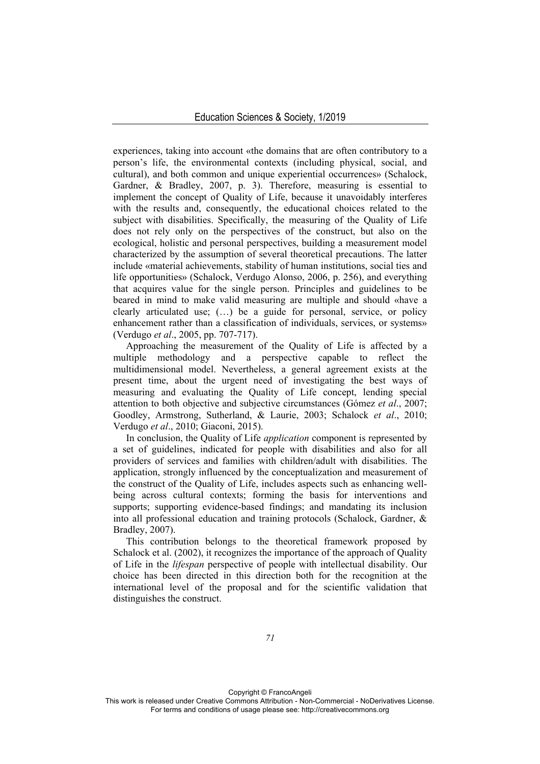experiences, taking into account «the domains that are often contributory to a person's life, the environmental contexts (including physical, social, and cultural), and both common and unique experiential occurrences» (Schalock, Gardner, & Bradley, 2007, p. 3). Therefore, measuring is essential to implement the concept of Quality of Life, because it unavoidably interferes with the results and, consequently, the educational choices related to the subject with disabilities. Specifically, the measuring of the Quality of Life does not rely only on the perspectives of the construct, but also on the ecological, holistic and personal perspectives, building a measurement model characterized by the assumption of several theoretical precautions. The latter include «material achievements, stability of human institutions, social ties and life opportunities» (Schalock, Verdugo Alonso, 2006, p. 256), and everything that acquires value for the single person. Principles and guidelines to be beared in mind to make valid measuring are multiple and should «have a clearly articulated use; (…) be a guide for personal, service, or policy enhancement rather than a classification of individuals, services, or systems» (Verdugo *et al*., 2005, pp. 707-717).

Approaching the measurement of the Quality of Life is affected by a multiple methodology and a perspective capable to reflect the multidimensional model. Nevertheless, a general agreement exists at the present time, about the urgent need of investigating the best ways of measuring and evaluating the Quality of Life concept, lending special attention to both objective and subjective circumstances (Gómez *et al*., 2007; Goodley, Armstrong, Sutherland, & Laurie, 2003; Schalock *et al*., 2010; Verdugo *et al*., 2010; Giaconi, 2015).

In conclusion, the Quality of Life *application* component is represented by a set of guidelines, indicated for people with disabilities and also for all providers of services and families with children/adult with disabilities. The application, strongly influenced by the conceptualization and measurement of the construct of the Quality of Life, includes aspects such as enhancing wellbeing across cultural contexts; forming the basis for interventions and supports; supporting evidence-based findings; and mandating its inclusion into all professional education and training protocols (Schalock, Gardner, & Bradley, 2007).

This contribution belongs to the theoretical framework proposed by Schalock et al. (2002), it recognizes the importance of the approach of Quality of Life in the *lifespan* perspective of people with intellectual disability. Our choice has been directed in this direction both for the recognition at the international level of the proposal and for the scientific validation that distinguishes the construct.

Copyright © FrancoAngeli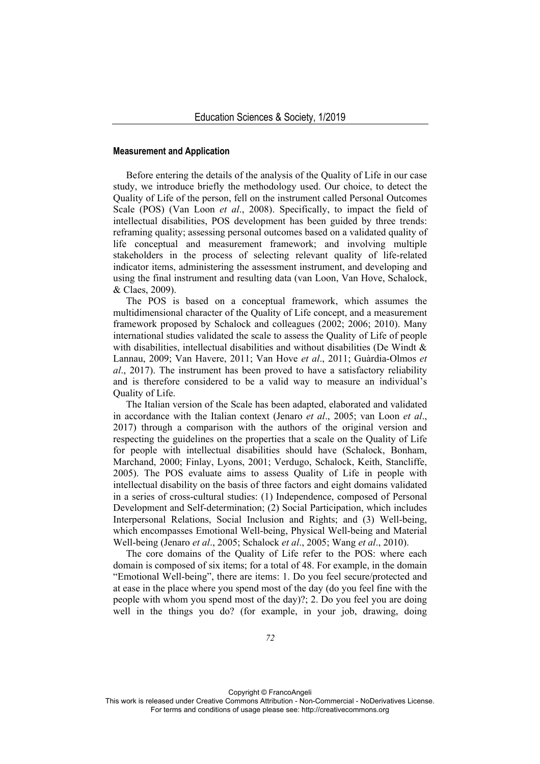#### **Measurement and Application**

Before entering the details of the analysis of the Quality of Life in our case study, we introduce briefly the methodology used. Our choice, to detect the Quality of Life of the person, fell on the instrument called Personal Outcomes Scale (POS) (Van Loon *et al*., 2008). Specifically, to impact the field of intellectual disabilities, POS development has been guided by three trends: reframing quality; assessing personal outcomes based on a validated quality of life conceptual and measurement framework; and involving multiple stakeholders in the process of selecting relevant quality of life-related indicator items, administering the assessment instrument, and developing and using the final instrument and resulting data (van Loon, Van Hove, Schalock, & Claes, 2009).

The POS is based on a conceptual framework, which assumes the multidimensional character of the Quality of Life concept, and a measurement framework proposed by Schalock and colleagues (2002; 2006; 2010). Many international studies validated the scale to assess the Quality of Life of people with disabilities, intellectual disabilities and without disabilities (De Windt  $\&$ Lannau, 2009; Van Havere, 2011; Van Hove *et al*., 2011; Guàrdia-Olmos *et al*., 2017). The instrument has been proved to have a satisfactory reliability and is therefore considered to be a valid way to measure an individual's Quality of Life.

The Italian version of the Scale has been adapted, elaborated and validated in accordance with the Italian context (Jenaro *et al*., 2005; van Loon *et al*., 2017) through a comparison with the authors of the original version and respecting the guidelines on the properties that a scale on the Quality of Life for people with intellectual disabilities should have (Schalock, Bonham, Marchand, 2000; Finlay, Lyons, 2001; Verdugo, Schalock, Keith, Stancliffe, 2005). The POS evaluate aims to assess Quality of Life in people with intellectual disability on the basis of three factors and eight domains validated in a series of cross-cultural studies: (1) Independence, composed of Personal Development and Self-determination; (2) Social Participation, which includes Interpersonal Relations, Social Inclusion and Rights; and (3) Well-being, which encompasses Emotional Well-being, Physical Well-being and Material Well-being (Jenaro *et al*., 2005; Schalock *et al*., 2005; Wang *et al*., 2010).

The core domains of the Quality of Life refer to the POS: where each domain is composed of six items; for a total of 48. For example, in the domain "Emotional Well-being", there are items: 1. Do you feel secure/protected and at ease in the place where you spend most of the day (do you feel fine with the people with whom you spend most of the day)?; 2. Do you feel you are doing well in the things you do? (for example, in your job, drawing, doing

Copyright © FrancoAngeli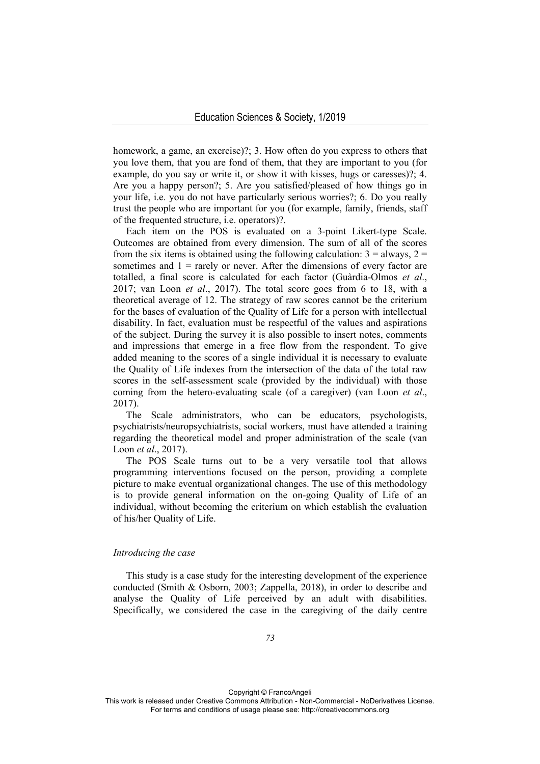homework, a game, an exercise)?; 3. How often do you express to others that you love them, that you are fond of them, that they are important to you (for example, do you say or write it, or show it with kisses, hugs or caresses)?; 4. Are you a happy person?; 5. Are you satisfied/pleased of how things go in your life, i.e. you do not have particularly serious worries?; 6. Do you really trust the people who are important for you (for example, family, friends, staff of the frequented structure, i.e. operators)?.

Each item on the POS is evaluated on a 3-point Likert-type Scale. Outcomes are obtained from every dimension. The sum of all of the scores from the six items is obtained using the following calculation:  $3 =$  always,  $2 =$ sometimes and  $1 =$  rarely or never. After the dimensions of every factor are totalled, a final score is calculated for each factor (Guàrdia-Olmos *et al*., 2017; van Loon *et al*., 2017). The total score goes from 6 to 18, with a theoretical average of 12. The strategy of raw scores cannot be the criterium for the bases of evaluation of the Quality of Life for a person with intellectual disability. In fact, evaluation must be respectful of the values and aspirations of the subject. During the survey it is also possible to insert notes, comments and impressions that emerge in a free flow from the respondent. To give added meaning to the scores of a single individual it is necessary to evaluate the Quality of Life indexes from the intersection of the data of the total raw scores in the self-assessment scale (provided by the individual) with those coming from the hetero-evaluating scale (of a caregiver) (van Loon *et al*., 2017).

The Scale administrators, who can be educators, psychologists, psychiatrists/neuropsychiatrists, social workers, must have attended a training regarding the theoretical model and proper administration of the scale (van Loon *et al*., 2017).

The POS Scale turns out to be a very versatile tool that allows programming interventions focused on the person, providing a complete picture to make eventual organizational changes. The use of this methodology is to provide general information on the on-going Quality of Life of an individual, without becoming the criterium on which establish the evaluation of his/her Quality of Life.

### *Introducing the case*

This study is a case study for the interesting development of the experience conducted (Smith & Osborn, 2003; Zappella, 2018), in order to describe and analyse the Quality of Life perceived by an adult with disabilities. Specifically, we considered the case in the caregiving of the daily centre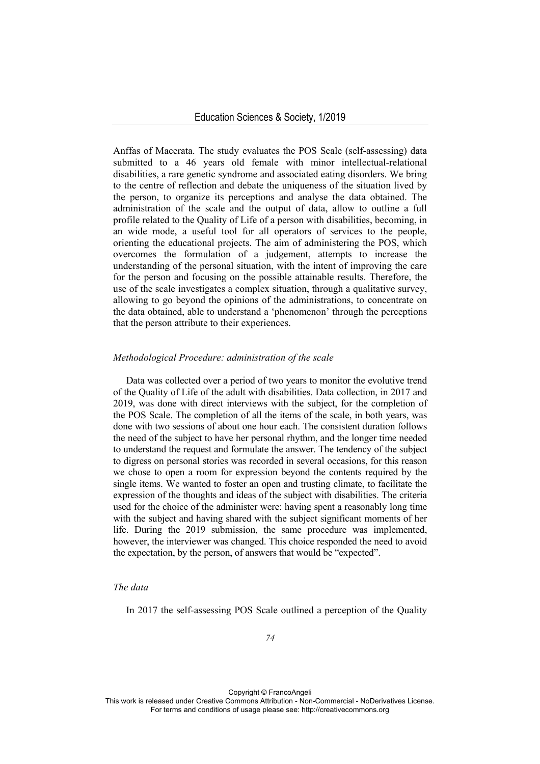Anffas of Macerata. The study evaluates the POS Scale (self-assessing) data submitted to a 46 years old female with minor intellectual-relational disabilities, a rare genetic syndrome and associated eating disorders. We bring to the centre of reflection and debate the uniqueness of the situation lived by the person, to organize its perceptions and analyse the data obtained. The administration of the scale and the output of data, allow to outline a full profile related to the Quality of Life of a person with disabilities, becoming, in an wide mode, a useful tool for all operators of services to the people, orienting the educational projects. The aim of administering the POS, which overcomes the formulation of a judgement, attempts to increase the understanding of the personal situation, with the intent of improving the care for the person and focusing on the possible attainable results. Therefore, the use of the scale investigates a complex situation, through a qualitative survey, allowing to go beyond the opinions of the administrations, to concentrate on the data obtained, able to understand a 'phenomenon' through the perceptions that the person attribute to their experiences.

### *Methodological Procedure: administration of the scale*

Data was collected over a period of two years to monitor the evolutive trend of the Quality of Life of the adult with disabilities. Data collection, in 2017 and 2019, was done with direct interviews with the subject, for the completion of the POS Scale. The completion of all the items of the scale, in both years, was done with two sessions of about one hour each. The consistent duration follows the need of the subject to have her personal rhythm, and the longer time needed to understand the request and formulate the answer. The tendency of the subject to digress on personal stories was recorded in several occasions, for this reason we chose to open a room for expression beyond the contents required by the single items. We wanted to foster an open and trusting climate, to facilitate the expression of the thoughts and ideas of the subject with disabilities. The criteria used for the choice of the administer were: having spent a reasonably long time with the subject and having shared with the subject significant moments of her life. During the 2019 submission, the same procedure was implemented, however, the interviewer was changed. This choice responded the need to avoid the expectation, by the person, of answers that would be "expected".

### *The data*

In 2017 the self-assessing POS Scale outlined a perception of the Quality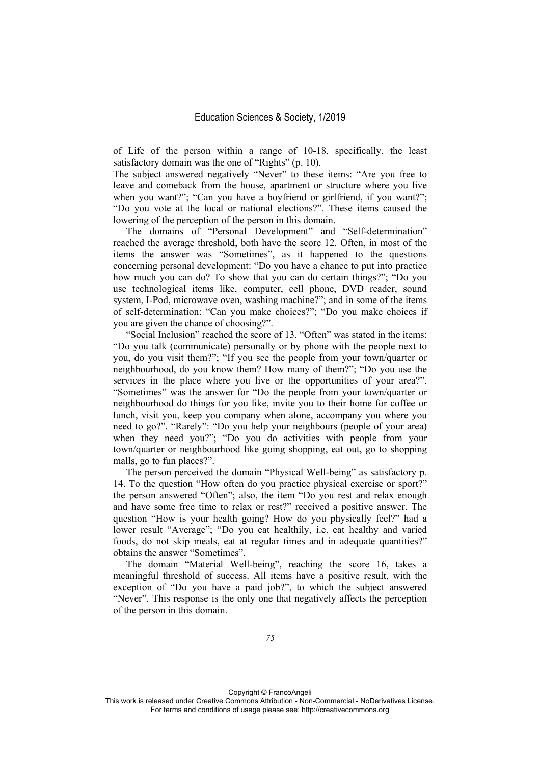of Life of the person within a range of 10-18, specifically, the least satisfactory domain was the one of "Rights" (p. 10).

The subject answered negatively "Never" to these items: "Are you free to leave and comeback from the house, apartment or structure where you live when you want?"; "Can you have a boyfriend or girlfriend, if you want?"; "Do you vote at the local or national elections?". These items caused the lowering of the perception of the person in this domain.

The domains of "Personal Development" and "Self-determination" reached the average threshold, both have the score 12. Often, in most of the items the answer was "Sometimes", as it happened to the questions concerning personal development: "Do you have a chance to put into practice how much you can do? To show that you can do certain things?"; "Do you use technological items like, computer, cell phone, DVD reader, sound system, I-Pod, microwave oven, washing machine?"; and in some of the items of self-determination: "Can you make choices?"; "Do you make choices if you are given the chance of choosing?".

"Social Inclusion" reached the score of 13. "Often" was stated in the items: "Do you talk (communicate) personally or by phone with the people next to you, do you visit them?"; "If you see the people from your town/quarter or neighbourhood, do you know them? How many of them?"; "Do you use the services in the place where you live or the opportunities of your area?". "Sometimes" was the answer for "Do the people from your town/quarter or neighbourhood do things for you like, invite you to their home for coffee or lunch, visit you, keep you company when alone, accompany you where you need to go?". "Rarely": "Do you help your neighbours (people of your area) when they need you?"; "Do you do activities with people from your town/quarter or neighbourhood like going shopping, eat out, go to shopping malls, go to fun places?".

The person perceived the domain "Physical Well-being" as satisfactory p. 14. To the question "How often do you practice physical exercise or sport?" the person answered "Often"; also, the item "Do you rest and relax enough and have some free time to relax or rest?" received a positive answer. The question "How is your health going? How do you physically feel?" had a lower result "Average"; "Do you eat healthily, i.e. eat healthy and varied foods, do not skip meals, eat at regular times and in adequate quantities?" obtains the answer "Sometimes".

The domain "Material Well-being", reaching the score 16, takes a meaningful threshold of success. All items have a positive result, with the exception of "Do you have a paid job?", to which the subject answered "Never". This response is the only one that negatively affects the perception of the person in this domain.

Copyright © FrancoAngeli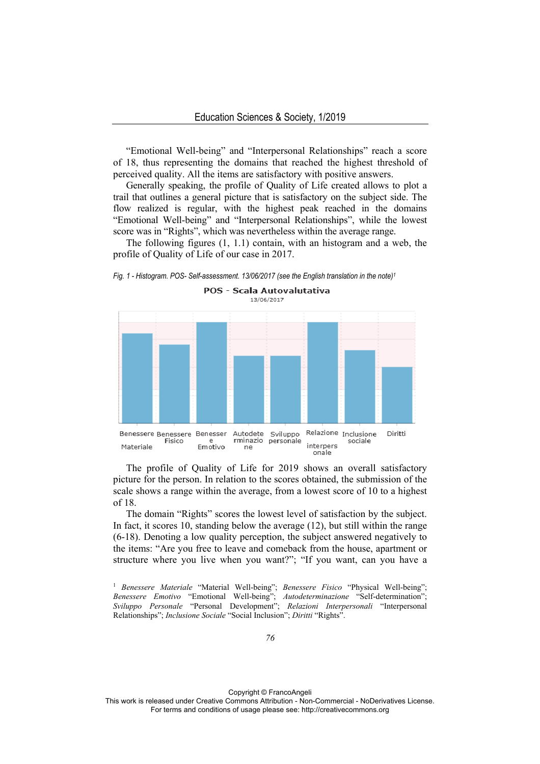"Emotional Well-being" and "Interpersonal Relationships" reach a score of 18, thus representing the domains that reached the highest threshold of perceived quality. All the items are satisfactory with positive answers.

Generally speaking, the profile of Quality of Life created allows to plot a trail that outlines a general picture that is satisfactory on the subject side. The flow realized is regular, with the highest peak reached in the domains "Emotional Well-being" and "Interpersonal Relationships", while the lowest score was in "Rights", which was nevertheless within the average range.

The following figures (1, 1.1) contain, with an histogram and a web, the profile of Quality of Life of our case in 2017.





The profile of Quality of Life for 2019 shows an overall satisfactory picture for the person. In relation to the scores obtained, the submission of the scale shows a range within the average, from a lowest score of 10 to a highest of 18.

The domain "Rights" scores the lowest level of satisfaction by the subject. In fact, it scores 10, standing below the average (12), but still within the range (6-18). Denoting a low quality perception, the subject answered negatively to the items: "Are you free to leave and comeback from the house, apartment or structure where you live when you want?"; "If you want, can you have a

Copyright © FrancoAngeli

<sup>&</sup>lt;sup>1</sup> *Benessere Materiale* "Material Well-being"; *Benessere Fisico* "Physical Well-being"; *Benessere Emotivo* "Emotional Well-being"; *Autodeterminazione* "Self-determination"; *Sviluppo Personale* "Personal Development"; *Relazioni Interpersonali* "Interpersonal Relationships"; *Inclusione Sociale* "Social Inclusion"; *Diritti* "Rights".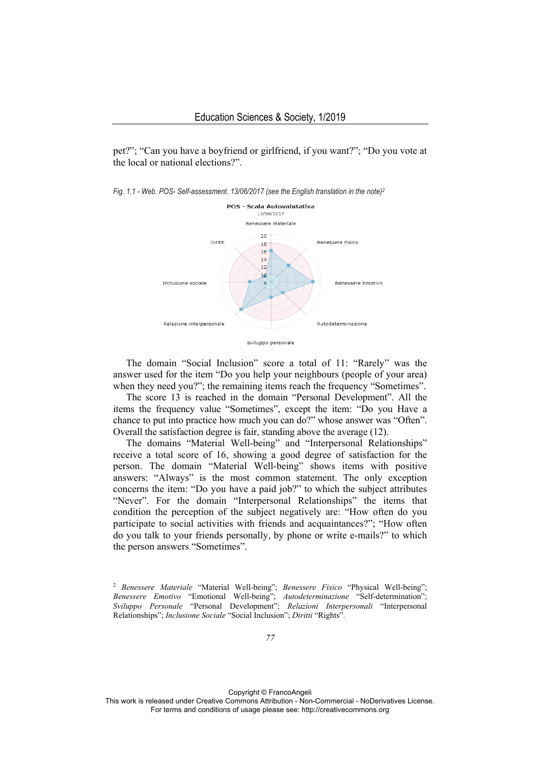pet?"; "Can you have a boyfriend or girlfriend, if you want?"; "Do you vote at the local or national elections?".





The domain "Social Inclusion" score a total of 11: "Rarely" was the answer used for the item "Do you help your neighbours (people of your area) when they need you?"; the remaining items reach the frequency "Sometimes".

The score 13 is reached in the domain "Personal Development". All the items the frequency value "Sometimes", except the item: "Do you Have a chance to put into practice how much you can do?" whose answer was "Often". Overall the satisfaction degree is fair, standing above the average (12).

The domains "Material Well-being" and "Interpersonal Relationships" receive a total score of 16, showing a good degree of satisfaction for the person. The domain "Material Well-being" shows items with positive answers: "Always" is the most common statement. The only exception concerns the item: "Do you have a paid job?" to which the subject attributes "Never". For the domain "Interpersonal Relationships" the items that condition the perception of the subject negatively are: "How often do you participate to social activities with friends and acquaintances?"; "How often do you talk to your friends personally, by phone or write e-mails?" to which the person answers "Sometimes".

Copyright © FrancoAngeli

<sup>2</sup> *Benessere Materiale* "Material Well-being"; *Benessere Fisico* "Physical Well-being"; *Benessere Emotivo* "Emotional Well-being"; *Autodeterminazione* "Self-determination"; *Sviluppo Personale* "Personal Development"; *Relazioni Interpersonali* "Interpersonal Relationships"; *Inclusione Sociale* "Social Inclusion"; *Diritti* "Rights".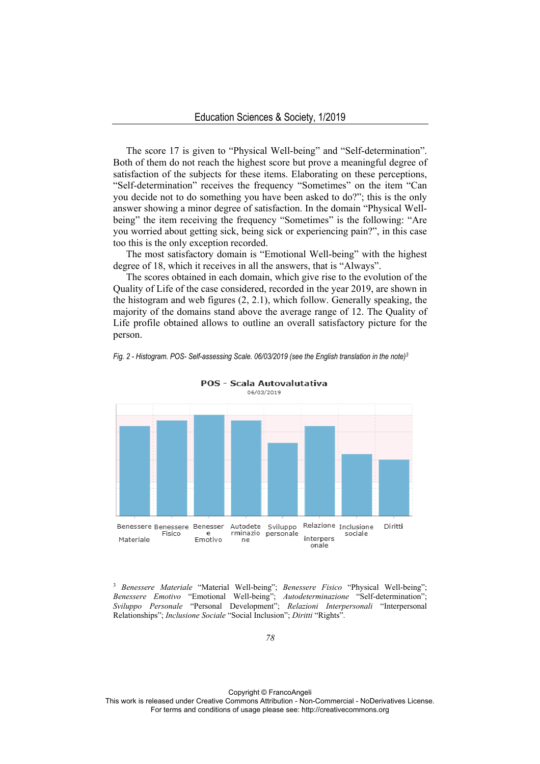The score 17 is given to "Physical Well-being" and "Self-determination". Both of them do not reach the highest score but prove a meaningful degree of satisfaction of the subjects for these items. Elaborating on these perceptions, "Self-determination" receives the frequency "Sometimes" on the item "Can you decide not to do something you have been asked to do?"; this is the only answer showing a minor degree of satisfaction. In the domain "Physical Wellbeing" the item receiving the frequency "Sometimes" is the following: "Are you worried about getting sick, being sick or experiencing pain?", in this case too this is the only exception recorded.

The most satisfactory domain is "Emotional Well-being" with the highest degree of 18, which it receives in all the answers, that is "Always".

The scores obtained in each domain, which give rise to the evolution of the Quality of Life of the case considered, recorded in the year 2019, are shown in the histogram and web figures (2, 2.1), which follow. Generally speaking, the majority of the domains stand above the average range of 12. The Quality of Life profile obtained allows to outline an overall satisfactory picture for the person.



*Fig. 2 - Histogram. POS- Self-assessing Scale. 06/03/2019 (see the English translation in the note)3*

POS - Scala Autovalutativa

<sup>3</sup> *Benessere Materiale* "Material Well-being"; *Benessere Fisico* "Physical Well-being"; *Benessere Emotivo* "Emotional Well-being"; *Autodeterminazione* "Self-determination"; *Sviluppo Personale* "Personal Development"; *Relazioni Interpersonali* "Interpersonal Relationships"; *Inclusione Sociale* "Social Inclusion"; *Diritti* "Rights".

Copyright © FrancoAngeli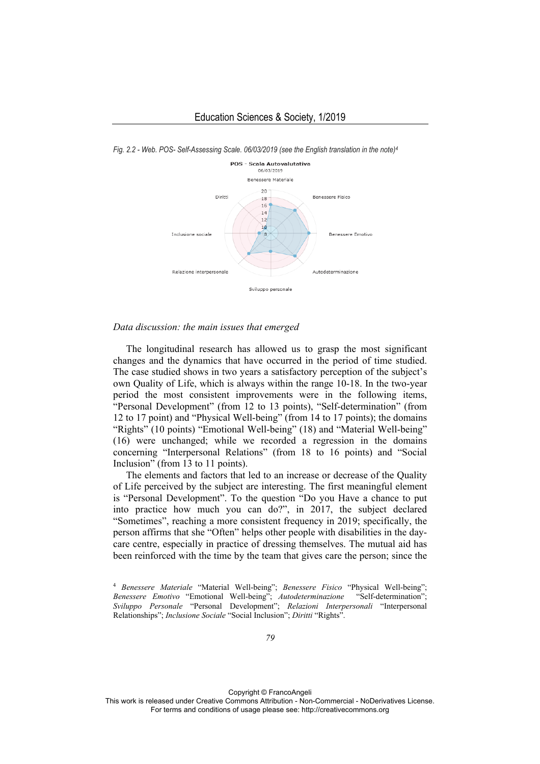

*Fig. 2.2 - Web. POS- Self-Assessing Scale. 06/03/2019 (see the English translation in the note)4*

#### *Data discussion: the main issues that emerged*

The longitudinal research has allowed us to grasp the most significant changes and the dynamics that have occurred in the period of time studied. The case studied shows in two years a satisfactory perception of the subject's own Quality of Life, which is always within the range 10-18. In the two-year period the most consistent improvements were in the following items, "Personal Development" (from 12 to 13 points), "Self-determination" (from 12 to 17 point) and "Physical Well-being" (from 14 to 17 points); the domains "Rights" (10 points) "Emotional Well-being" (18) and "Material Well-being" (16) were unchanged; while we recorded a regression in the domains concerning "Interpersonal Relations" (from 18 to 16 points) and "Social Inclusion" (from 13 to 11 points).

The elements and factors that led to an increase or decrease of the Quality of Life perceived by the subject are interesting. The first meaningful element is "Personal Development". To the question "Do you Have a chance to put into practice how much you can do?", in 2017, the subject declared "Sometimes", reaching a more consistent frequency in 2019; specifically, the person affirms that she "Often" helps other people with disabilities in the daycare centre, especially in practice of dressing themselves. The mutual aid has been reinforced with the time by the team that gives care the person; since the

Copyright © FrancoAngeli

<sup>4</sup> *Benessere Materiale* "Material Well-being"; *Benessere Fisico* "Physical Well-being"; *Benessere Emotivo* "Emotional Well-being"; *Autodeterminazione* "Self-determination"; *Sviluppo Personale* "Personal Development"; *Relazioni Interpersonali* "Interpersonal Relationships"; *Inclusione Sociale* "Social Inclusion"; *Diritti* "Rights".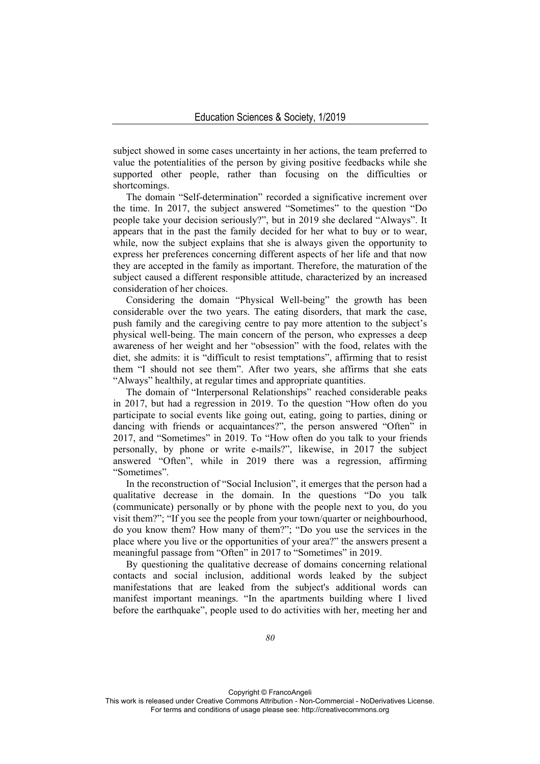subject showed in some cases uncertainty in her actions, the team preferred to value the potentialities of the person by giving positive feedbacks while she supported other people, rather than focusing on the difficulties or shortcomings.

The domain "Self-determination" recorded a significative increment over the time. In 2017, the subject answered "Sometimes" to the question "Do people take your decision seriously?", but in 2019 she declared "Always". It appears that in the past the family decided for her what to buy or to wear, while, now the subject explains that she is always given the opportunity to express her preferences concerning different aspects of her life and that now they are accepted in the family as important. Therefore, the maturation of the subject caused a different responsible attitude, characterized by an increased consideration of her choices.

Considering the domain "Physical Well-being" the growth has been considerable over the two years. The eating disorders, that mark the case, push family and the caregiving centre to pay more attention to the subject's physical well-being. The main concern of the person, who expresses a deep awareness of her weight and her "obsession" with the food, relates with the diet, she admits: it is "difficult to resist temptations", affirming that to resist them "I should not see them". After two years, she affirms that she eats "Always" healthily, at regular times and appropriate quantities.

The domain of "Interpersonal Relationships" reached considerable peaks in 2017, but had a regression in 2019. To the question "How often do you participate to social events like going out, eating, going to parties, dining or dancing with friends or acquaintances?", the person answered "Often" in 2017, and "Sometimes" in 2019. To "How often do you talk to your friends personally, by phone or write e-mails?", likewise, in 2017 the subject answered "Often", while in 2019 there was a regression, affirming "Sometimes".

In the reconstruction of "Social Inclusion", it emerges that the person had a qualitative decrease in the domain. In the questions "Do you talk (communicate) personally or by phone with the people next to you, do you visit them?"; "If you see the people from your town/quarter or neighbourhood, do you know them? How many of them?"; "Do you use the services in the place where you live or the opportunities of your area?" the answers present a meaningful passage from "Often" in 2017 to "Sometimes" in 2019.

By questioning the qualitative decrease of domains concerning relational contacts and social inclusion, additional words leaked by the subject manifestations that are leaked from the subject's additional words can manifest important meanings. "In the apartments building where I lived before the earthquake", people used to do activities with her, meeting her and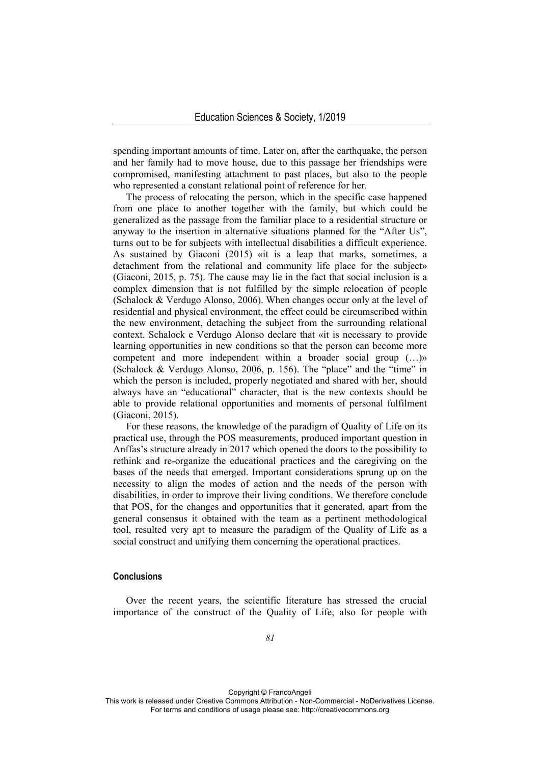spending important amounts of time. Later on, after the earthquake, the person and her family had to move house, due to this passage her friendships were compromised, manifesting attachment to past places, but also to the people who represented a constant relational point of reference for her.

The process of relocating the person, which in the specific case happened from one place to another together with the family, but which could be generalized as the passage from the familiar place to a residential structure or anyway to the insertion in alternative situations planned for the "After Us", turns out to be for subjects with intellectual disabilities a difficult experience. As sustained by Giaconi (2015) «it is a leap that marks, sometimes, a detachment from the relational and community life place for the subject» (Giaconi, 2015, p. 75). The cause may lie in the fact that social inclusion is a complex dimension that is not fulfilled by the simple relocation of people (Schalock & Verdugo Alonso, 2006). When changes occur only at the level of residential and physical environment, the effect could be circumscribed within the new environment, detaching the subject from the surrounding relational context. Schalock e Verdugo Alonso declare that «it is necessary to provide learning opportunities in new conditions so that the person can become more competent and more independent within a broader social group (…)» (Schalock & Verdugo Alonso, 2006, p. 156). The "place" and the "time" in which the person is included, properly negotiated and shared with her, should always have an "educational" character, that is the new contexts should be able to provide relational opportunities and moments of personal fulfilment (Giaconi, 2015).

For these reasons, the knowledge of the paradigm of Quality of Life on its practical use, through the POS measurements, produced important question in Anffas's structure already in 2017 which opened the doors to the possibility to rethink and re-organize the educational practices and the caregiving on the bases of the needs that emerged. Important considerations sprung up on the necessity to align the modes of action and the needs of the person with disabilities, in order to improve their living conditions. We therefore conclude that POS, for the changes and opportunities that it generated, apart from the general consensus it obtained with the team as a pertinent methodological tool, resulted very apt to measure the paradigm of the Quality of Life as a social construct and unifying them concerning the operational practices.

## **Conclusions**

Over the recent years, the scientific literature has stressed the crucial importance of the construct of the Quality of Life, also for people with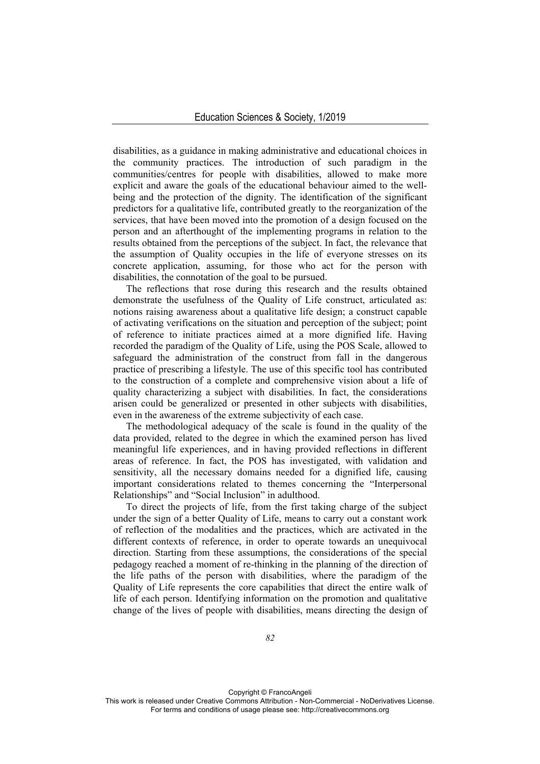disabilities, as a guidance in making administrative and educational choices in the community practices. The introduction of such paradigm in the communities/centres for people with disabilities, allowed to make more explicit and aware the goals of the educational behaviour aimed to the wellbeing and the protection of the dignity. The identification of the significant predictors for a qualitative life, contributed greatly to the reorganization of the services, that have been moved into the promotion of a design focused on the person and an afterthought of the implementing programs in relation to the results obtained from the perceptions of the subject. In fact, the relevance that the assumption of Quality occupies in the life of everyone stresses on its concrete application, assuming, for those who act for the person with disabilities, the connotation of the goal to be pursued.

The reflections that rose during this research and the results obtained demonstrate the usefulness of the Quality of Life construct, articulated as: notions raising awareness about a qualitative life design; a construct capable of activating verifications on the situation and perception of the subject; point of reference to initiate practices aimed at a more dignified life. Having recorded the paradigm of the Quality of Life, using the POS Scale, allowed to safeguard the administration of the construct from fall in the dangerous practice of prescribing a lifestyle. The use of this specific tool has contributed to the construction of a complete and comprehensive vision about a life of quality characterizing a subject with disabilities. In fact, the considerations arisen could be generalized or presented in other subjects with disabilities, even in the awareness of the extreme subjectivity of each case.

The methodological adequacy of the scale is found in the quality of the data provided, related to the degree in which the examined person has lived meaningful life experiences, and in having provided reflections in different areas of reference. In fact, the POS has investigated, with validation and sensitivity, all the necessary domains needed for a dignified life, causing important considerations related to themes concerning the "Interpersonal Relationships" and "Social Inclusion" in adulthood.

To direct the projects of life, from the first taking charge of the subject under the sign of a better Quality of Life, means to carry out a constant work of reflection of the modalities and the practices, which are activated in the different contexts of reference, in order to operate towards an unequivocal direction. Starting from these assumptions, the considerations of the special pedagogy reached a moment of re-thinking in the planning of the direction of the life paths of the person with disabilities, where the paradigm of the Quality of Life represents the core capabilities that direct the entire walk of life of each person. Identifying information on the promotion and qualitative change of the lives of people with disabilities, means directing the design of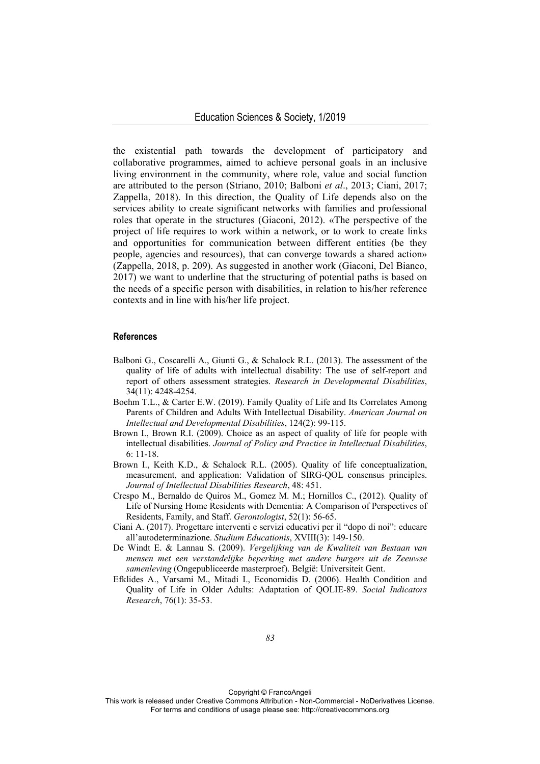the existential path towards the development of participatory and collaborative programmes, aimed to achieve personal goals in an inclusive living environment in the community, where role, value and social function are attributed to the person (Striano, 2010; Balboni *et al*., 2013; Ciani, 2017; Zappella, 2018). In this direction, the Quality of Life depends also on the services ability to create significant networks with families and professional roles that operate in the structures (Giaconi, 2012). «The perspective of the project of life requires to work within a network, or to work to create links and opportunities for communication between different entities (be they people, agencies and resources), that can converge towards a shared action» (Zappella, 2018, p. 209). As suggested in another work (Giaconi, Del Bianco, 2017) we want to underline that the structuring of potential paths is based on the needs of a specific person with disabilities, in relation to his/her reference contexts and in line with his/her life project.

#### **References**

- Balboni G., Coscarelli A., Giunti G., & Schalock R.L. (2013). The assessment of the quality of life of adults with intellectual disability: The use of self-report and report of others assessment strategies. *Research in Developmental Disabilities*, 34(11): 4248-4254.
- Boehm T.L., & Carter E.W. (2019). Family Quality of Life and Its Correlates Among Parents of Children and Adults With Intellectual Disability. *American Journal on Intellectual and Developmental Disabilities*, 124(2): 99-115.
- Brown I., Brown R.I. (2009). Choice as an aspect of quality of life for people with intellectual disabilities. *Journal of Policy and Practice in Intellectual Disabilities*, 6: 11-18.
- Brown I., Keith K.D., & Schalock R.L. (2005). Quality of life conceptualization, measurement, and application: Validation of SIRG-QOL consensus principles. *Journal of Intellectual Disabilities Research*, 48: 451.
- Crespo M., Bernaldo de Quiros M., Gomez M. M.; Hornillos C., (2012). Quality of Life of Nursing Home Residents with Dementia: A Comparison of Perspectives of Residents, Family, and Staff. *Gerontologist*, 52(1): 56-65.
- Ciani A. (2017). Progettare interventi e servizi educativi per il "dopo di noi": educare all'autodeterminazione. *Studium Educationis*, XVIII(3): 149-150.
- De Windt E. & Lannau S. (2009). *Vergelijking van de Kwaliteit van Bestaan van mensen met een verstandelijke beperking met andere burgers uit de Zeeuwse samenleving* (Ongepubliceerde masterproef). België: Universiteit Gent.
- Efklides A., Varsami M., Mitadi I., Economidis D. (2006). Health Condition and Quality of Life in Older Adults: Adaptation of QOLIE-89. *Social Indicators Research*, 76(1): 35-53.

Copyright © FrancoAngeli

This work is released under Creative Commons Attribution - Non-Commercial - NoDerivatives License. For terms and conditions of usage please see: http://creativecommons.org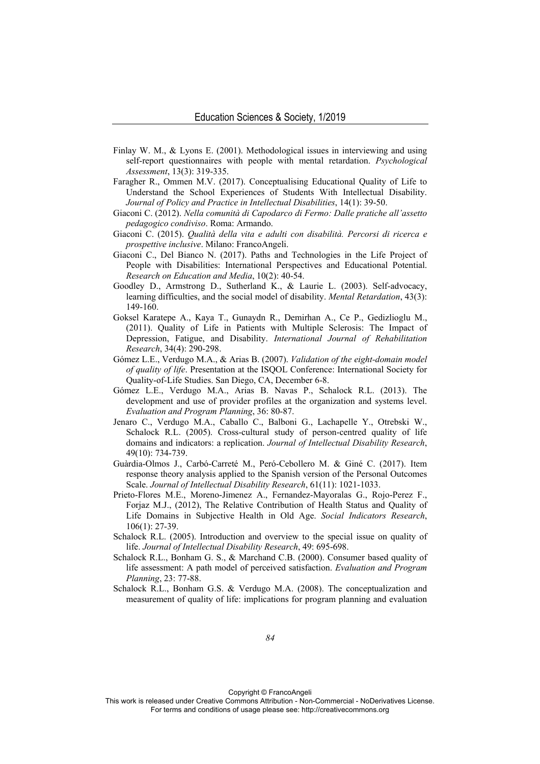- Finlay W. M., & Lyons E. (2001). Methodological issues in interviewing and using self-report questionnaires with people with mental retardation. *Psychological Assessment*, 13(3): 319-335.
- Faragher R., Ommen M.V. (2017). Conceptualising Educational Quality of Life to Understand the School Experiences of Students With Intellectual Disability. *Journal of Policy and Practice in Intellectual Disabilities*, 14(1): 39-50.
- Giaconi C. (2012). *Nella comunità di Capodarco di Fermo: Dalle pratiche all'assetto pedagogico condiviso*. Roma: Armando.
- Giaconi C. (2015). *Qualità della vita e adulti con disabilità. Percorsi di ricerca e prospettive inclusive*. Milano: FrancoAngeli.
- Giaconi C., Del Bianco N. (2017). Paths and Technologies in the Life Project of People with Disabilities: International Perspectives and Educational Potential. *Research on Education and Media*, 10(2): 40-54.
- Goodley D., Armstrong D., Sutherland K., & Laurie L. (2003). Self-advocacy, learning difficulties, and the social model of disability. *Mental Retardation*, 43(3): 149-160.
- Goksel Karatepe A., Kaya T., Gunaydn R., Demirhan A., Ce P., Gedizlioglu M., (2011). Quality of Life in Patients with Multiple Sclerosis: The Impact of Depression, Fatigue, and Disability. *International Journal of Rehabilitation Research*, 34(4): 290-298.
- Gómez L.E., Verdugo M.A., & Arias B. (2007). *Validation of the eight-domain model of quality of life*. Presentation at the ISQOL Conference: International Society for Quality-of-Life Studies. San Diego, CA, December 6-8.
- Gómez L.E., Verdugo M.A., Arias B. Navas P., Schalock R.L. (2013). The development and use of provider profiles at the organization and systems level. *Evaluation and Program Planning*, 36: 80-87.
- Jenaro C., Verdugo M.A., Caballo C., Balboni G., Lachapelle Y., Otrebski W., Schalock R.L. (2005). Cross-cultural study of person-centred quality of life domains and indicators: a replication. *Journal of Intellectual Disability Research*, 49(10): 734-739.
- Guàrdia-Olmos J., Carbó-Carreté M., Peró-Cebollero M. & Giné C. (2017). Item response theory analysis applied to the Spanish version of the Personal Outcomes Scale. *Journal of Intellectual Disability Research*, 61(11): 1021-1033.
- Prieto-Flores M.E., Moreno-Jimenez A., Fernandez-Mayoralas G., Rojo-Perez F., Forjaz M.J., (2012), The Relative Contribution of Health Status and Quality of Life Domains in Subjective Health in Old Age. *Social Indicators Research*, 106(1): 27-39.
- Schalock R.L. (2005). Introduction and overview to the special issue on quality of life. *Journal of Intellectual Disability Research*, 49: 695-698.
- Schalock R.L., Bonham G. S., & Marchand C.B. (2000). Consumer based quality of life assessment: A path model of perceived satisfaction. *Evaluation and Program Planning*, 23: 77-88.
- Schalock R.L., Bonham G.S. & Verdugo M.A. (2008). The conceptualization and measurement of quality of life: implications for program planning and evaluation

Copyright © FrancoAngeli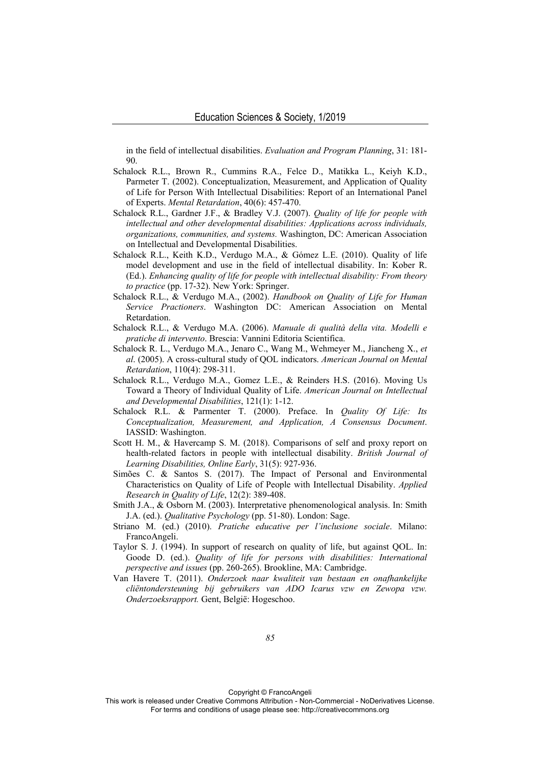in the field of intellectual disabilities. *Evaluation and Program Planning*, 31: 181-  $90^{\circ}$ 

- Schalock R.L., Brown R., Cummins R.A., Felce D., Matikka L., Keiyh K.D., Parmeter T. (2002). Conceptualization, Measurement, and Application of Quality of Life for Person With Intellectual Disabilities: Report of an International Panel of Experts. *Mental Retardation*, 40(6): 457-470.
- Schalock R.L., Gardner J.F., & Bradley V.J. (2007). *Quality of life for people with intellectual and other developmental disabilities: Applications across individuals, organizations, communities, and systems.* Washington, DC: American Association on Intellectual and Developmental Disabilities.
- Schalock R.L., Keith K.D., Verdugo M.A., & Gómez L.E. (2010). Quality of life model development and use in the field of intellectual disability. In: Kober R. (Ed.). *Enhancing quality of life for people with intellectual disability: From theory to practice* (pp. 17-32). New York: Springer.
- Schalock R.L., & Verdugo M.A., (2002). *Handbook on Quality of Life for Human Service Practioners*. Washington DC: American Association on Mental Retardation.
- Schalock R.L., & Verdugo M.A. (2006). *Manuale di qualità della vita. Modelli e pratiche di intervento*. Brescia: Vannini Editoria Scientifica.
- Schalock R. L., Verdugo M.A., Jenaro C., Wang M., Wehmeyer M., Jiancheng X., *et al*. (2005). A cross-cultural study of QOL indicators. *American Journal on Mental Retardation*, 110(4): 298-311.
- Schalock R.L., Verdugo M.A., Gomez L.E., & Reinders H.S. (2016). Moving Us Toward a Theory of Individual Quality of Life. *American Journal on Intellectual and Developmental Disabilities*, 121(1): 1-12.
- Schalock R.L. & Parmenter T. (2000). Preface. In *Quality Of Life: Its Conceptualization, Measurement, and Application, A Consensus Document*. IASSID: Washington.
- Scott H. M., & Havercamp S. M. (2018). Comparisons of self and proxy report on health-related factors in people with intellectual disability. *British Journal of Learning Disabilities, Online Early*, 31(5): 927-936.
- Simões C. & Santos S. (2017). The Impact of Personal and Environmental Characteristics on Quality of Life of People with Intellectual Disability. *Applied Research in Quality of Life*, 12(2): 389-408.
- Smith J.A., & Osborn M. (2003). Interpretative phenomenological analysis. In: Smith J.A. (ed.). *Qualitative Psychology* (pp. 51-80). London: Sage.
- Striano M. (ed.) (2010). *Pratiche educative per l'inclusione sociale*. Milano: FrancoAngeli.
- Taylor S. J. (1994). In support of research on quality of life, but against QOL. In: Goode D. (ed.). *Quality of life for persons with disabilities: International perspective and issues* (pp. 260-265). Brookline, MA: Cambridge.
- Van Havere T. (2011). *Onderzoek naar kwaliteit van bestaan en onafhankelijke cliëntondersteuning bij gebruikers van ADO Icarus vzw en Zewopa vzw. Onderzoeksrapport.* Gent, België: Hogeschoo.

Copyright © FrancoAngeli

This work is released under Creative Commons Attribution - Non-Commercial - NoDerivatives License. For terms and conditions of usage please see: http://creativecommons.org